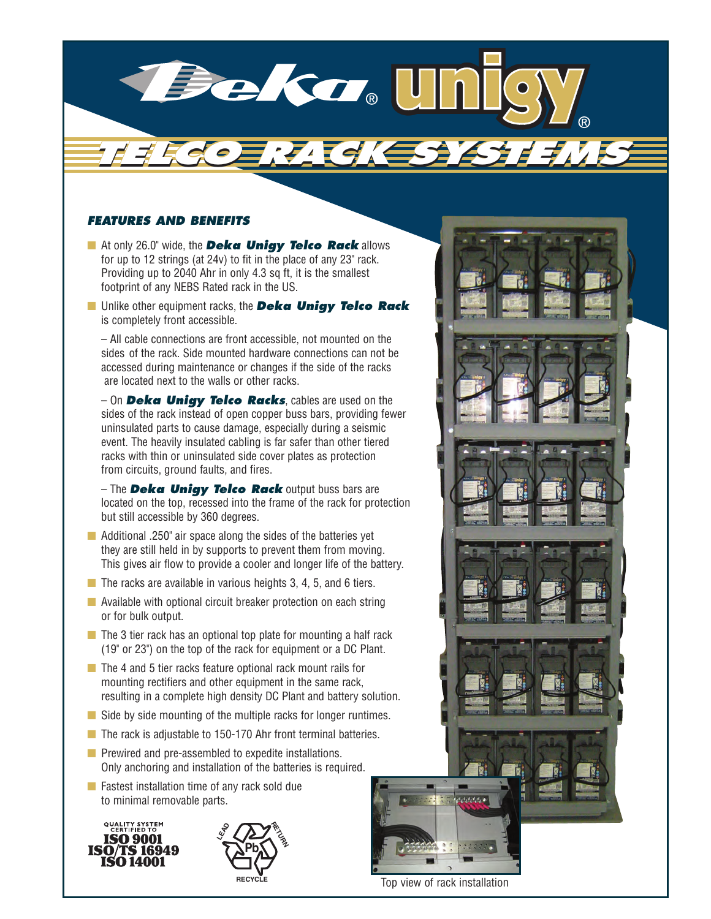

## *FEATURES AND BENEFITS*

- **■** At only 26.0" wide, the *Deka Unigy Telco Rack* allows for up to 12 strings (at 24v) to fit in the place of any 23" rack. Providing up to 2040 Ahr in only 4.3 sq ft, it is the smallest footprint of any NEBS Rated rack in the US.
- **■** Unlike other equipment racks, the *Deka Unigy Telco Rack* is completely front accessible.

– All cable connections are front accessible, not mounted on the sides of the rack. Side mounted hardware connections can not be accessed during maintenance or changes if the side of the racks are located next to the walls or other racks.

– On *Deka Unigy Telco Racks*, cables are used on the sides of the rack instead of open copper buss bars, providing fewer uninsulated parts to cause damage, especially during a seismic event. The heavily insulated cabling is far safer than other tiered racks with thin or uninsulated side cover plates as protection from circuits, ground faults, and fires.

– The *Deka Unigy Telco Rack* output buss bars are located on the top, recessed into the frame of the rack for protection but still accessible by 360 degrees.

- Additional .250" air space along the sides of the batteries yet they are still held in by supports to prevent them from moving. This gives air flow to provide a cooler and longer life of the battery.
- The racks are available in various heights 3, 4, 5, and 6 tiers.
- Available with optional circuit breaker protection on each string or for bulk output.
- The 3 tier rack has an optional top plate for mounting a half rack (19" or 23") on the top of the rack for equipment or a DC Plant.
- The 4 and 5 tier racks feature optional rack mount rails for mounting rectifiers and other equipment in the same rack, resulting in a complete high density DC Plant and battery solution.
- Side by side mounting of the multiple racks for longer runtimes.
- The rack is adjustable to 150-170 Ahr front terminal batteries.
- Prewired and pre-assembled to expedite installations. Only anchoring and installation of the batteries is required.
- Fastest installation time of any rack sold due to minimal removable parts.





Top view of rack installation